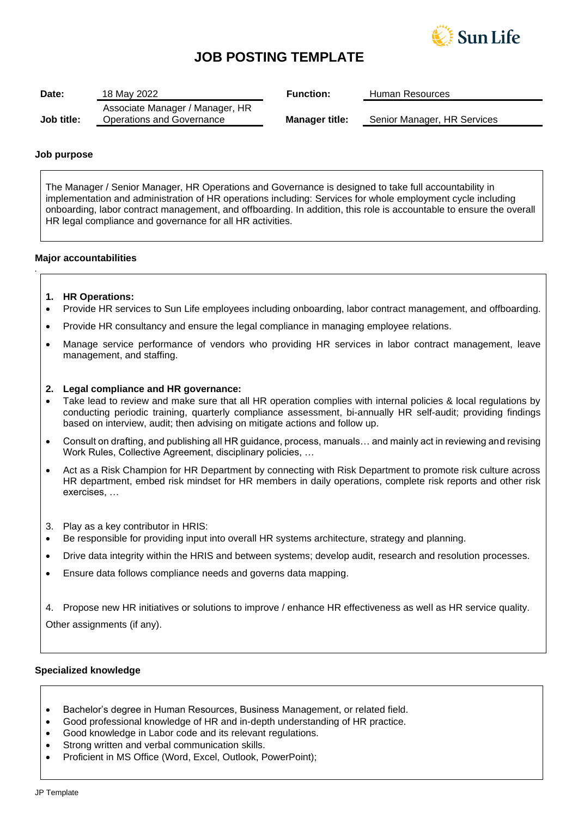

# **JOB POSTING TEMPLATE**

| Associate Manager / Manager, HR |                           | Senior Manager, HR Services |
|---------------------------------|---------------------------|-----------------------------|
|                                 | Operations and Governance | <b>Manager title:</b>       |

### **Job purpose**

*.*

The Manager / Senior Manager, HR Operations and Governance is designed to take full accountability in implementation and administration of HR operations including: Services for whole employment cycle including onboarding, labor contract management, and offboarding. In addition, this role is accountable to ensure the overall HR legal compliance and governance for all HR activities.

## **Major accountabilities**

- **1. HR Operations:**
- Provide HR services to Sun Life employees including onboarding, labor contract management, and offboarding.
- Provide HR consultancy and ensure the legal compliance in managing employee relations.
- Manage service performance of vendors who providing HR services in labor contract management, leave management, and staffing.

### **2. Legal compliance and HR governance:**

- Take lead to review and make sure that all HR operation complies with internal policies & local regulations by conducting periodic training, quarterly compliance assessment, bi-annually HR self-audit; providing findings based on interview, audit; then advising on mitigate actions and follow up.
- Consult on drafting, and publishing all HR guidance, process, manuals… and mainly act in reviewing and revising Work Rules, Collective Agreement, disciplinary policies, …
- Act as a Risk Champion for HR Department by connecting with Risk Department to promote risk culture across HR department, embed risk mindset for HR members in daily operations, complete risk reports and other risk exercises, …
- 3. Play as a key contributor in HRIS:
- Be responsible for providing input into overall HR systems architecture, strategy and planning.
- Drive data integrity within the HRIS and between systems; develop audit, research and resolution processes.
- Ensure data follows compliance needs and governs data mapping.
- 4. Propose new HR initiatives or solutions to improve / enhance HR effectiveness as well as HR service quality.

Other assignments (if any).

### **Specialized knowledge**

- Bachelor's degree in Human Resources, Business Management, or related field.
- Good professional knowledge of HR and in-depth understanding of HR practice.
- Good knowledge in Labor code and its relevant regulations.
- Strong written and verbal communication skills.
- Proficient in MS Office (Word, Excel, Outlook, PowerPoint);